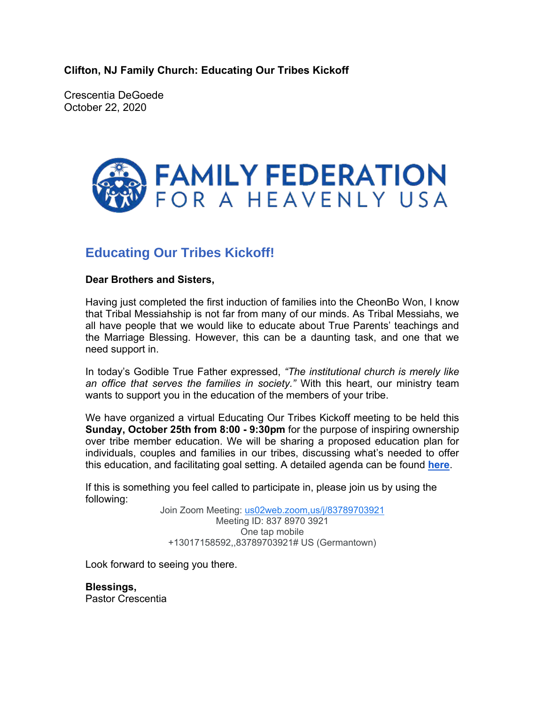**Clifton, NJ Family Church: Educating Our Tribes Kickoff**

Crescentia DeGoede October 22, 2020



## **Educating Our Tribes Kickoff!**

## **Dear Brothers and Sisters,**

Having just completed the first induction of families into the CheonBo Won, I know that Tribal Messiahship is not far from many of our minds. As Tribal Messiahs, we all have people that we would like to educate about True Parents' teachings and the Marriage Blessing. However, this can be a daunting task, and one that we need support in.

In today's Godible True Father expressed, *"The institutional church is merely like an office that serves the families in society."* With this heart, our ministry team wants to support you in the education of the members of your tribe.

We have organized a virtual Educating Our Tribes Kickoff meeting to be held this **Sunday, October 25th from 8:00 - 9:30pm** for the purpose of inspiring ownership over tribe member education. We will be sharing a proposed education plan for individuals, couples and families in our tribes, discussing what's needed to offer this education, and facilitating goal setting. A detailed agenda can be found **here**.

If this is something you feel called to participate in, please join us by using the following:

> Join Zoom Meeting: us02web.zoom,us/j/83789703921 Meeting ID: 837 8970 3921 One tap mobile +13017158592,,83789703921# US (Germantown)

Look forward to seeing you there.

**Blessings,** Pastor Crescentia